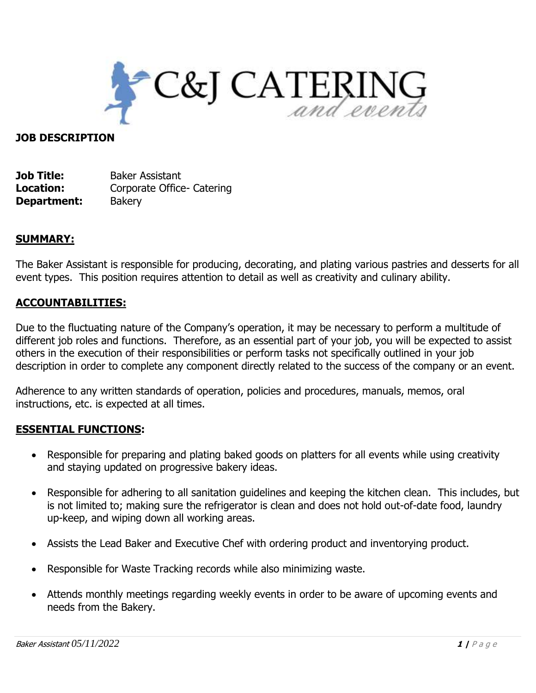

#### **JOB DESCRIPTION**

**Job Title:** Baker Assistant **Location:** Corporate Office- Catering **Department:** Bakery

## **SUMMARY:**

The Baker Assistant is responsible for producing, decorating, and plating various pastries and desserts for all event types. This position requires attention to detail as well as creativity and culinary ability.

## **ACCOUNTABILITIES:**

Due to the fluctuating nature of the Company's operation, it may be necessary to perform a multitude of different job roles and functions. Therefore, as an essential part of your job, you will be expected to assist others in the execution of their responsibilities or perform tasks not specifically outlined in your job description in order to complete any component directly related to the success of the company or an event.

Adherence to any written standards of operation, policies and procedures, manuals, memos, oral instructions, etc. is expected at all times.

#### **ESSENTIAL FUNCTIONS:**

- Responsible for preparing and plating baked goods on platters for all events while using creativity and staying updated on progressive bakery ideas.
- Responsible for adhering to all sanitation guidelines and keeping the kitchen clean. This includes, but is not limited to; making sure the refrigerator is clean and does not hold out-of-date food, laundry up-keep, and wiping down all working areas.
- Assists the Lead Baker and Executive Chef with ordering product and inventorying product.
- Responsible for Waste Tracking records while also minimizing waste.
- Attends monthly meetings regarding weekly events in order to be aware of upcoming events and needs from the Bakery.